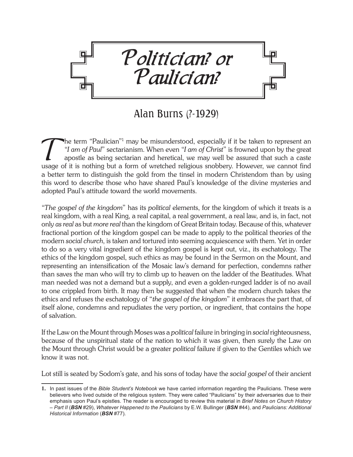

Alan Burns (?-1929)

The term "Paulician"<sup>1</sup><br>"I am of Paul" sectar<br>apostle as being sec The term "Paulician"<sup>1</sup> may be misunderstood, especially if it be taken to represent an "*I am of Paul*" sectarianism. When even "*I am of Christ*" is frowned upon by the great apostle as being sectarian and heretical, we may well be assured that such a caste usage of it is nothing but a form of wretched religious snobbery. However, we cannot find a better term to distinguish the gold from the tinsel in modern Christendom than by using this word to describe those who have shared Paul's knowledge of the divine mysteries and adopted Paul's attitude toward the world movements.

"*The gospel of the kingdom*" has its *political* elements, for the kingdom of which it treats is a real kingdom, with a real King, a real capital, a real government, a real law, and is, in fact, not only *as real* as but *more real* than the kingdom of Great Britain today. Because of this, whatever fractional portion of the kingdom gospel can be made to apply to the political theories of the modern *social church*, is taken and tortured into seeming acquiescence with them. Yet in order to do so a very vital ingredient of the kingdom gospel is kept out, viz., its eschatology. The ethics of the kingdom gospel, such ethics as may be found in the Sermon on the Mount, and representing an intensification of the Mosaic law's demand for perfection, condemns rather than saves the man who will try to climb up to heaven on the ladder of the Beatitudes. What man needed was not a demand but a supply, and even a golden-runged ladder is of no avail to one crippled from birth. It may then be suggested that when the modern church takes the ethics and refuses the eschatology of "*the gospel of the kingdom*" it embraces the part that, of itself alone, condemns and repudiates the very portion, or ingredient, that contains the hope of salvation.

If the Law on the Mount through Moses was a *political* failure in bringing in *social* righteousness, because of the unspiritual state of the nation to which it was given, then surely the Law on the Mount through Christ would be a greater *political* failure if given to the Gentiles which we know it was not.

Lot still is seated by Sodom's gate, and his sons of today have the *social gospel* of their ancient

**<sup>1.</sup>** In past issues of the *Bible Student's Notebook* we have carried information regarding the Paulicians. These were believers who lived outside of the religious system. They were called "Paulicians" by their adversaries due to their emphasis upon Paul's epistles. The reader is encouraged to review this material in *Brief Notes on Church History – Part II* (*BSN* #29), *Whatever Happened to the Paulicians* by E.W. Bullinger (*BSN* #44), and *Paulicians: Additional Historical Information* (*BSN* #77).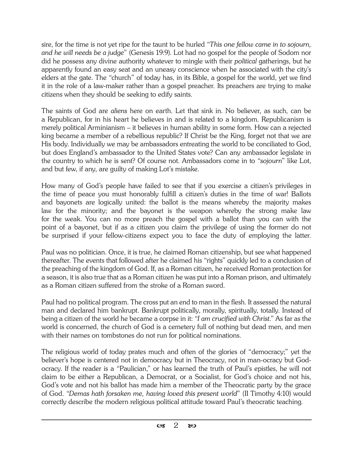sire, for the time is not yet ripe for the taunt to be hurled "*This one fellow came in to sojourn, and he will needs be a judge*" (Genesis 19:9). Lot had no gospel for the people of Sodom nor did he possess any divine authority whatever to mingle with their *political* gatherings, but he apparently found an easy seat and an uneasy conscience when he associated with the city's elders at the gate. The "church" of today has, in its Bible, a gospel for the world, yet we find it in the role of a law-maker rather than a gospel preacher. Its preachers are trying to make citizens when they should be seeking to edify saints.

The saints of God are *aliens* here on earth. Let that sink in. No believer, as such, can be a Republican, for in his heart he believes in and is related to a kingdom. Republicanism is merely political Arminianism – it believes in human ability in some form. How can a rejected king became a member of a rebellious republic? If Christ be the King, forget not that we are His body. Individually we may be ambassadors entreating the world to be conciliated to God, but does England's ambassador to the United States vote? Can any ambassador legislate in the country to which he is sent? Of course not. Ambassadors come in to "*sojourn*" like Lot, and but few, if any, are guilty of making Lot's mistake.

How many of God's people have failed to see that if you exercise a citizen's privileges in the time of peace you must honorably fulfill a citizen's duties in the time of war! Ballots and bayonets are logically united: the ballot is the means whereby the majority makes law for the minority; and the bayonet is the weapon whereby the strong make law for the weak. You can no more preach the gospel with a ballot than you can with the point of a bayonet, but if as a citizen you claim the privilege of using the former do not be surprised if your fellow-citizens expect you to face the duty of employing the latter.

Paul was no politician. Once, it is true, he claimed Roman citizenship, but see what happened thereafter. The events that followed after he claimed his "rights" quickly led to a conclusion of the preaching of the kingdom of God. If, as a Roman citizen, he received Roman protection for a season, it is also true that as a Roman citizen he was put into a Roman prison, and ultimately as a Roman citizen suffered from the stroke of a Roman sword.

Paul had no political program. The cross put an end to man in the flesh. It assessed the natural man and declared him bankrupt. Bankrupt politically, morally, spiritually, totally. Instead of being a citizen of the world he became a corpse in it: "*I am crucified with Christ*." As far as the world is concerned, the church of God is a cemetery full of nothing but dead men, and men with their names on tombstones do not run for political nominations.

The religious world of today prates much and often of the glories of "democracy;" yet the believer's hope is centered not in democracy but in Theocracy, not in man-ocracy but Godocracy. If the reader is a "Paulician," or has learned the truth of Paul's epistles, he will not claim to be either a Republican, a Democrat, or a Socialist, for God's choice and not his, God's vote and not his ballot has made him a member of the Theocratic party by the grace of God. "*Demas hath forsaken me, having loved this present world*" (II Timothy 4:10) would correctly describe the modern religious political attitude toward Paul's theocratic teaching.